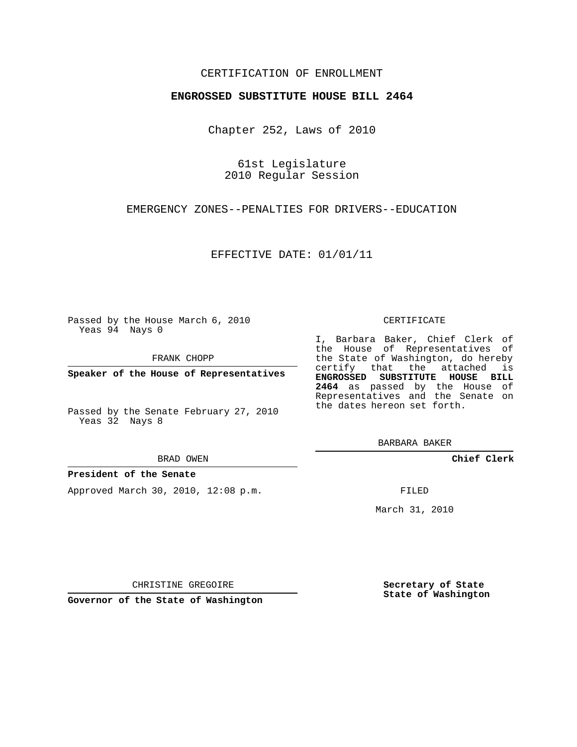## CERTIFICATION OF ENROLLMENT

### **ENGROSSED SUBSTITUTE HOUSE BILL 2464**

Chapter 252, Laws of 2010

61st Legislature 2010 Regular Session

EMERGENCY ZONES--PENALTIES FOR DRIVERS--EDUCATION

EFFECTIVE DATE: 01/01/11

Passed by the House March 6, 2010 Yeas 94 Nays 0

FRANK CHOPP

**Speaker of the House of Representatives**

Passed by the Senate February 27, 2010 Yeas 32 Nays 8

#### BRAD OWEN

### **President of the Senate**

Approved March 30, 2010, 12:08 p.m.

#### CERTIFICATE

I, Barbara Baker, Chief Clerk of the House of Representatives of the State of Washington, do hereby certify that the attached is **ENGROSSED SUBSTITUTE HOUSE BILL 2464** as passed by the House of Representatives and the Senate on the dates hereon set forth.

BARBARA BAKER

**Chief Clerk**

FILED

March 31, 2010

CHRISTINE GREGOIRE

**Governor of the State of Washington**

**Secretary of State State of Washington**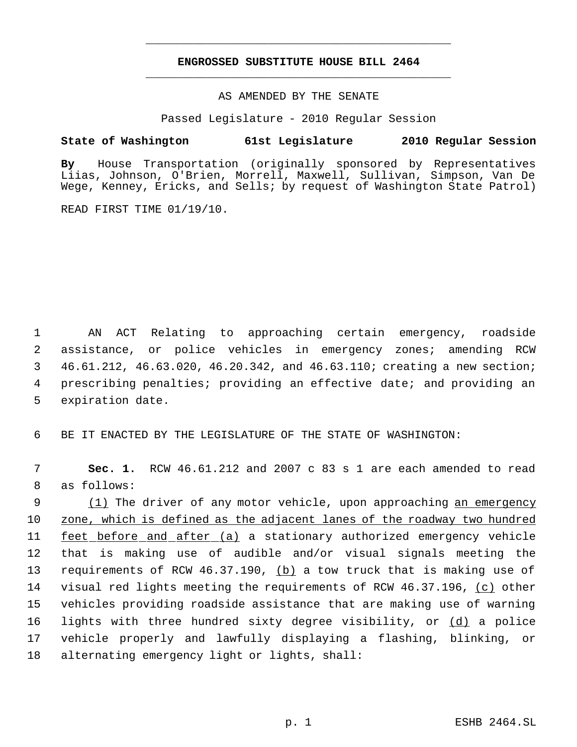# **ENGROSSED SUBSTITUTE HOUSE BILL 2464** \_\_\_\_\_\_\_\_\_\_\_\_\_\_\_\_\_\_\_\_\_\_\_\_\_\_\_\_\_\_\_\_\_\_\_\_\_\_\_\_\_\_\_\_\_

\_\_\_\_\_\_\_\_\_\_\_\_\_\_\_\_\_\_\_\_\_\_\_\_\_\_\_\_\_\_\_\_\_\_\_\_\_\_\_\_\_\_\_\_\_

AS AMENDED BY THE SENATE

Passed Legislature - 2010 Regular Session

## **State of Washington 61st Legislature 2010 Regular Session**

**By** House Transportation (originally sponsored by Representatives Liias, Johnson, O'Brien, Morrell, Maxwell, Sullivan, Simpson, Van De Wege, Kenney, Ericks, and Sells; by request of Washington State Patrol)

READ FIRST TIME 01/19/10.

 AN ACT Relating to approaching certain emergency, roadside assistance, or police vehicles in emergency zones; amending RCW 46.61.212, 46.63.020, 46.20.342, and 46.63.110; creating a new section; prescribing penalties; providing an effective date; and providing an expiration date.

6 BE IT ENACTED BY THE LEGISLATURE OF THE STATE OF WASHINGTON:

 7 **Sec. 1.** RCW 46.61.212 and 2007 c 83 s 1 are each amended to read 8 as follows:

9 (1) The driver of any motor vehicle, upon approaching an emergency zone, which is defined as the adjacent lanes of the roadway two hundred 11 feet before and after (a) a stationary authorized emergency vehicle that is making use of audible and/or visual signals meeting the 13 requirements of RCW 46.37.190, (b) a tow truck that is making use of visual red lights meeting the requirements of RCW 46.37.196, (c) other vehicles providing roadside assistance that are making use of warning lights with three hundred sixty degree visibility, or (d) a police vehicle properly and lawfully displaying a flashing, blinking, or alternating emergency light or lights, shall: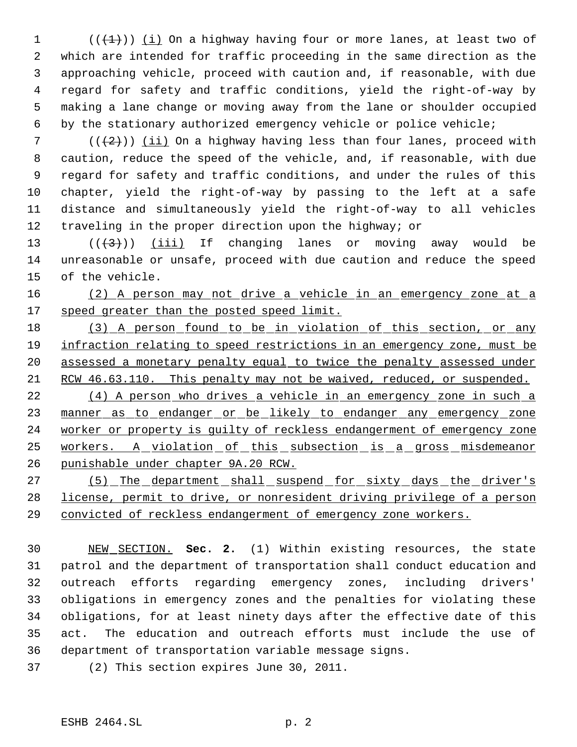$((+1))$   $(i)$  On a highway having four or more lanes, at least two of which are intended for traffic proceeding in the same direction as the approaching vehicle, proceed with caution and, if reasonable, with due regard for safety and traffic conditions, yield the right-of-way by making a lane change or moving away from the lane or shoulder occupied by the stationary authorized emergency vehicle or police vehicle;

 $((+2))$  (ii) On a highway having less than four lanes, proceed with caution, reduce the speed of the vehicle, and, if reasonable, with due regard for safety and traffic conditions, and under the rules of this chapter, yield the right-of-way by passing to the left at a safe distance and simultaneously yield the right-of-way to all vehicles 12 traveling in the proper direction upon the highway; or

13  $((+3))$   $(iii)$  If changing lanes or moving away would be unreasonable or unsafe, proceed with due caution and reduce the speed of the vehicle.

 (2) A person may not drive a vehicle in an emergency zone at a 17 speed greater than the posted speed limit.

18 (3) A person found to be in violation of this section, or any 19 infraction relating to speed restrictions in an emergency zone, must be assessed a monetary penalty equal to twice the penalty assessed under RCW 46.63.110. This penalty may not be waived, reduced, or suspended.

 (4) A person who drives a vehicle in an emergency zone in such a 23 manner as to endanger or be likely to endanger any emergency zone worker or property is guilty of reckless endangerment of emergency zone 25 workers. A violation of this subsection is a gross misdemeanor punishable under chapter 9A.20 RCW.

27 (5) The department shall suspend for sixty days the driver's license, permit to drive, or nonresident driving privilege of a person convicted of reckless endangerment of emergency zone workers.

 NEW SECTION. **Sec. 2.** (1) Within existing resources, the state patrol and the department of transportation shall conduct education and outreach efforts regarding emergency zones, including drivers' obligations in emergency zones and the penalties for violating these obligations, for at least ninety days after the effective date of this act. The education and outreach efforts must include the use of department of transportation variable message signs.

(2) This section expires June 30, 2011.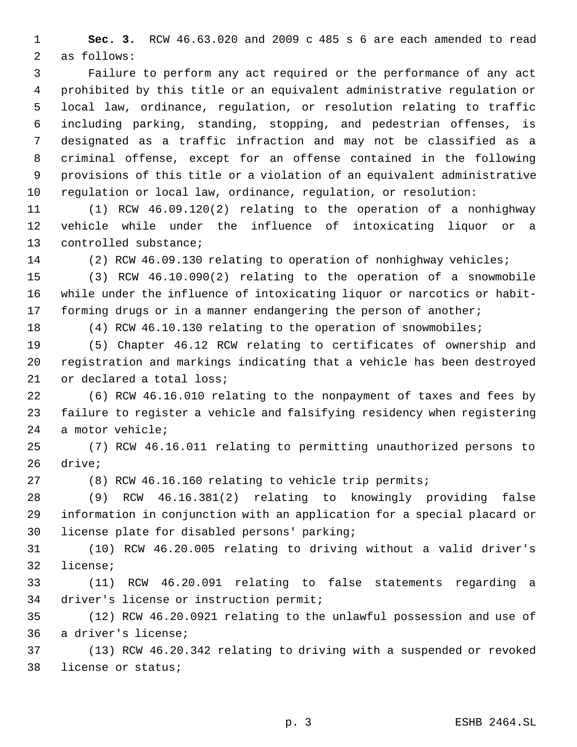**Sec. 3.** RCW 46.63.020 and 2009 c 485 s 6 are each amended to read as follows:

 Failure to perform any act required or the performance of any act prohibited by this title or an equivalent administrative regulation or local law, ordinance, regulation, or resolution relating to traffic including parking, standing, stopping, and pedestrian offenses, is designated as a traffic infraction and may not be classified as a criminal offense, except for an offense contained in the following provisions of this title or a violation of an equivalent administrative regulation or local law, ordinance, regulation, or resolution:

 (1) RCW 46.09.120(2) relating to the operation of a nonhighway vehicle while under the influence of intoxicating liquor or a controlled substance;

(2) RCW 46.09.130 relating to operation of nonhighway vehicles;

 (3) RCW 46.10.090(2) relating to the operation of a snowmobile while under the influence of intoxicating liquor or narcotics or habit-17 forming drugs or in a manner endangering the person of another;

(4) RCW 46.10.130 relating to the operation of snowmobiles;

 (5) Chapter 46.12 RCW relating to certificates of ownership and registration and markings indicating that a vehicle has been destroyed or declared a total loss;

 (6) RCW 46.16.010 relating to the nonpayment of taxes and fees by failure to register a vehicle and falsifying residency when registering a motor vehicle;

 (7) RCW 46.16.011 relating to permitting unauthorized persons to drive;

(8) RCW 46.16.160 relating to vehicle trip permits;

 (9) RCW 46.16.381(2) relating to knowingly providing false information in conjunction with an application for a special placard or license plate for disabled persons' parking;

 (10) RCW 46.20.005 relating to driving without a valid driver's license;

 (11) RCW 46.20.091 relating to false statements regarding a driver's license or instruction permit;

 (12) RCW 46.20.0921 relating to the unlawful possession and use of a driver's license;

 (13) RCW 46.20.342 relating to driving with a suspended or revoked license or status;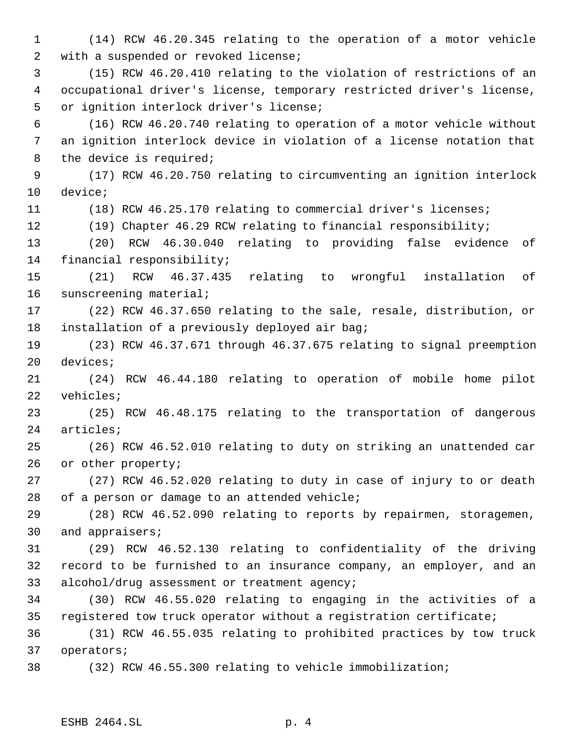(14) RCW 46.20.345 relating to the operation of a motor vehicle with a suspended or revoked license; (15) RCW 46.20.410 relating to the violation of restrictions of an occupational driver's license, temporary restricted driver's license, or ignition interlock driver's license; (16) RCW 46.20.740 relating to operation of a motor vehicle without an ignition interlock device in violation of a license notation that 8 the device is required; (17) RCW 46.20.750 relating to circumventing an ignition interlock device; (18) RCW 46.25.170 relating to commercial driver's licenses; (19) Chapter 46.29 RCW relating to financial responsibility; (20) RCW 46.30.040 relating to providing false evidence of financial responsibility; (21) RCW 46.37.435 relating to wrongful installation of sunscreening material; (22) RCW 46.37.650 relating to the sale, resale, distribution, or installation of a previously deployed air bag; (23) RCW 46.37.671 through 46.37.675 relating to signal preemption devices; (24) RCW 46.44.180 relating to operation of mobile home pilot vehicles; (25) RCW 46.48.175 relating to the transportation of dangerous articles; (26) RCW 46.52.010 relating to duty on striking an unattended car or other property; (27) RCW 46.52.020 relating to duty in case of injury to or death of a person or damage to an attended vehicle; (28) RCW 46.52.090 relating to reports by repairmen, storagemen, and appraisers; (29) RCW 46.52.130 relating to confidentiality of the driving record to be furnished to an insurance company, an employer, and an alcohol/drug assessment or treatment agency; (30) RCW 46.55.020 relating to engaging in the activities of a registered tow truck operator without a registration certificate; (31) RCW 46.55.035 relating to prohibited practices by tow truck operators; (32) RCW 46.55.300 relating to vehicle immobilization;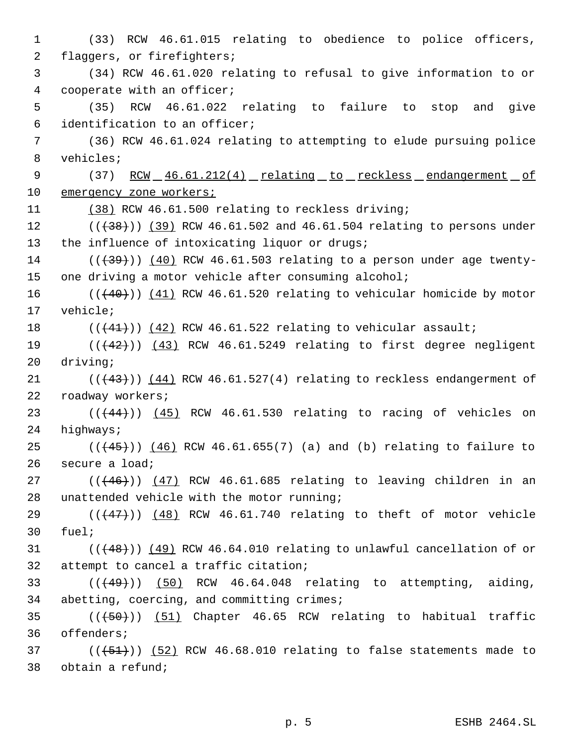(33) RCW 46.61.015 relating to obedience to police officers, flaggers, or firefighters; (34) RCW 46.61.020 relating to refusal to give information to or cooperate with an officer; (35) RCW 46.61.022 relating to failure to stop and give identification to an officer; (36) RCW 46.61.024 relating to attempting to elude pursuing police vehicles; 9 (37) RCW 46.61.212(4) relating to reckless endangerment of 10 emergency zone workers; (38) RCW 46.61.500 relating to reckless driving; 12 (((38))) (39) RCW 46.61.502 and 46.61.504 relating to persons under 13 the influence of intoxicating liquor or drugs; ( $(\overline{39})$ ) (40) RCW 46.61.503 relating to a person under age twenty-15 one driving a motor vehicle after consuming alcohol;  $((+40))$   $(41)$  RCW 46.61.520 relating to vehicular homicide by motor 17 vehicle;  $((41))$  (42) RCW 46.61.522 relating to vehicular assault;  $((+42))$   $(43)$  RCW 46.61.5249 relating to first degree negligent 20 driving;  $((43))$  (44) RCW 46.61.527(4) relating to reckless endangerment of roadway workers;  $((44)$ )  $(45)$  RCW 46.61.530 relating to racing of vehicles on highways;  $((+45))$   $(46)$  RCW 46.61.655(7) (a) and (b) relating to failure to secure a load; ( $(\overline{+46})$ )  $(47)$  RCW 46.61.685 relating to leaving children in an unattended vehicle with the motor running;  $(1, 47)$  ( $(47)$ )) (48) RCW 46.61.740 relating to theft of motor vehicle 30 fuel;  $(1 + 48)$ ) (49) RCW 46.64.010 relating to unlawful cancellation of or attempt to cancel a traffic citation;  $(1+49)$ ) (50) RCW 46.64.048 relating to attempting, aiding, abetting, coercing, and committing crimes; 35 (( $(50)$ )) (51) Chapter 46.65 RCW relating to habitual traffic offenders;  $(1, 51)$  ( $(51)$ ) (52) RCW 46.68.010 relating to false statements made to obtain a refund;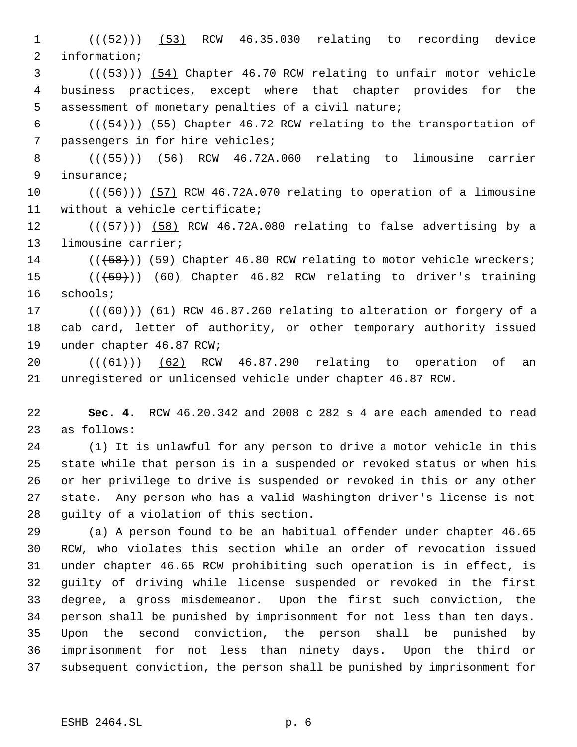$((+52)^{n})$   $(53)$  RCW 46.35.030 relating to recording device information;

3 (( $(53)$ )) (54) Chapter 46.70 RCW relating to unfair motor vehicle business practices, except where that chapter provides for the assessment of monetary penalties of a civil nature;

 $((+54))$  (55) Chapter 46.72 RCW relating to the transportation of passengers in for hire vehicles;

8 (((55))) (56) RCW 46.72A.060 relating to limousine carrier insurance;

10  $((+56))$   $(57)$  RCW 46.72A.070 relating to operation of a limousine without a vehicle certificate;

 $((\text{(+57+)}))$  (58) RCW 46.72A.080 relating to false advertising by a limousine carrier;

14 (( $(58)$ )) (59) Chapter 46.80 RCW relating to motor vehicle wreckers;

15 (( $\left(\frac{59}{10}\right)$  (60) Chapter 46.82 RCW relating to driver's training schools;

17  $((+60))$   $(61)$  RCW 46.87.260 relating to alteration or forgery of a cab card, letter of authority, or other temporary authority issued under chapter 46.87 RCW;

20 (((61)) (62) RCW 46.87.290 relating to operation of an unregistered or unlicensed vehicle under chapter 46.87 RCW.

 **Sec. 4.** RCW 46.20.342 and 2008 c 282 s 4 are each amended to read as follows:

 (1) It is unlawful for any person to drive a motor vehicle in this state while that person is in a suspended or revoked status or when his or her privilege to drive is suspended or revoked in this or any other state. Any person who has a valid Washington driver's license is not guilty of a violation of this section.

 (a) A person found to be an habitual offender under chapter 46.65 RCW, who violates this section while an order of revocation issued under chapter 46.65 RCW prohibiting such operation is in effect, is guilty of driving while license suspended or revoked in the first degree, a gross misdemeanor. Upon the first such conviction, the person shall be punished by imprisonment for not less than ten days. Upon the second conviction, the person shall be punished by imprisonment for not less than ninety days. Upon the third or subsequent conviction, the person shall be punished by imprisonment for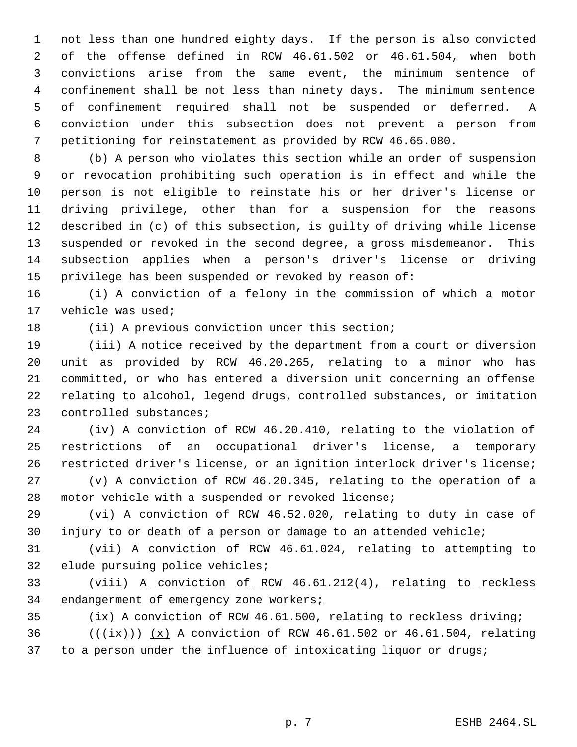not less than one hundred eighty days. If the person is also convicted of the offense defined in RCW 46.61.502 or 46.61.504, when both convictions arise from the same event, the minimum sentence of confinement shall be not less than ninety days. The minimum sentence of confinement required shall not be suspended or deferred. A conviction under this subsection does not prevent a person from petitioning for reinstatement as provided by RCW 46.65.080.

 (b) A person who violates this section while an order of suspension or revocation prohibiting such operation is in effect and while the person is not eligible to reinstate his or her driver's license or driving privilege, other than for a suspension for the reasons described in (c) of this subsection, is guilty of driving while license suspended or revoked in the second degree, a gross misdemeanor. This subsection applies when a person's driver's license or driving privilege has been suspended or revoked by reason of:

 (i) A conviction of a felony in the commission of which a motor vehicle was used;

(ii) A previous conviction under this section;

 (iii) A notice received by the department from a court or diversion unit as provided by RCW 46.20.265, relating to a minor who has committed, or who has entered a diversion unit concerning an offense relating to alcohol, legend drugs, controlled substances, or imitation controlled substances;

 (iv) A conviction of RCW 46.20.410, relating to the violation of restrictions of an occupational driver's license, a temporary restricted driver's license, or an ignition interlock driver's license; (v) A conviction of RCW 46.20.345, relating to the operation of a

motor vehicle with a suspended or revoked license;

 (vi) A conviction of RCW 46.52.020, relating to duty in case of injury to or death of a person or damage to an attended vehicle;

 (vii) A conviction of RCW 46.61.024, relating to attempting to elude pursuing police vehicles;

33 (viii) <u>A conviction of RCW 46.61.212(4), relating to reckless</u> 34 endangerment of emergency zone workers;

35 (ix) A conviction of RCW 46.61.500, relating to reckless driving; 36 ( $(\frac{ix}{})$ ) (x) A conviction of RCW 46.61.502 or 46.61.504, relating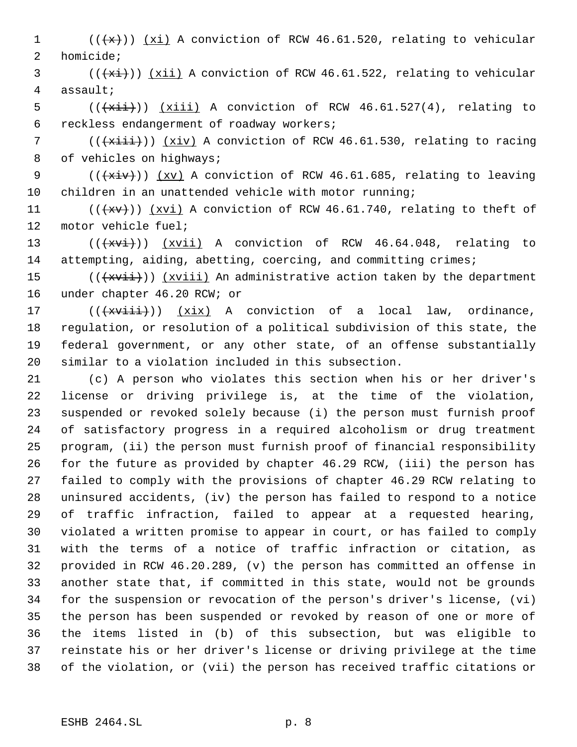$((\{x\})$   $(xi)$  A conviction of RCW 46.61.520, relating to vehicular homicide;

 (( $\overline{(\overline{xi})}$ ))  $\overline{xi}$  A conviction of RCW 46.61.522, relating to vehicular assault;

5  $((\overline{\text{xiii}}))$   $(\overline{\text{xiii}})$  A conviction of RCW 46.61.527(4), relating to reckless endangerment of roadway workers;

7 ( $(\overrightarrow{x\text{+i}})$ ) (xiv) A conviction of RCW 46.61.530, relating to racing 8 of vehicles on highways;

9 ( $(\overleftrightarrow{ixiv})$ )  $(xv)$  A conviction of RCW 46.61.685, relating to leaving children in an unattended vehicle with motor running;

11  $((+x+))$   $(xvi)$  A conviction of RCW 46.61.740, relating to theft of motor vehicle fuel;

13 (( $\overline{(+x\overline{v}i)})$  ( $\overline{xv}i)$  A conviction of RCW 46.64.048, relating to 14 attempting, aiding, abetting, coercing, and committing crimes;

15 ( $(\overline{+x\text{v}i})$ )  $(x\text{v}i\text{i})$  An administrative action taken by the department under chapter 46.20 RCW; or

 $((\text{+xviii}))$   $(\text{xix})$  A conviction of a local law, ordinance, regulation, or resolution of a political subdivision of this state, the federal government, or any other state, of an offense substantially similar to a violation included in this subsection.

 (c) A person who violates this section when his or her driver's license or driving privilege is, at the time of the violation, suspended or revoked solely because (i) the person must furnish proof of satisfactory progress in a required alcoholism or drug treatment program, (ii) the person must furnish proof of financial responsibility for the future as provided by chapter 46.29 RCW, (iii) the person has failed to comply with the provisions of chapter 46.29 RCW relating to uninsured accidents, (iv) the person has failed to respond to a notice of traffic infraction, failed to appear at a requested hearing, violated a written promise to appear in court, or has failed to comply with the terms of a notice of traffic infraction or citation, as provided in RCW 46.20.289, (v) the person has committed an offense in another state that, if committed in this state, would not be grounds for the suspension or revocation of the person's driver's license, (vi) the person has been suspended or revoked by reason of one or more of the items listed in (b) of this subsection, but was eligible to reinstate his or her driver's license or driving privilege at the time of the violation, or (vii) the person has received traffic citations or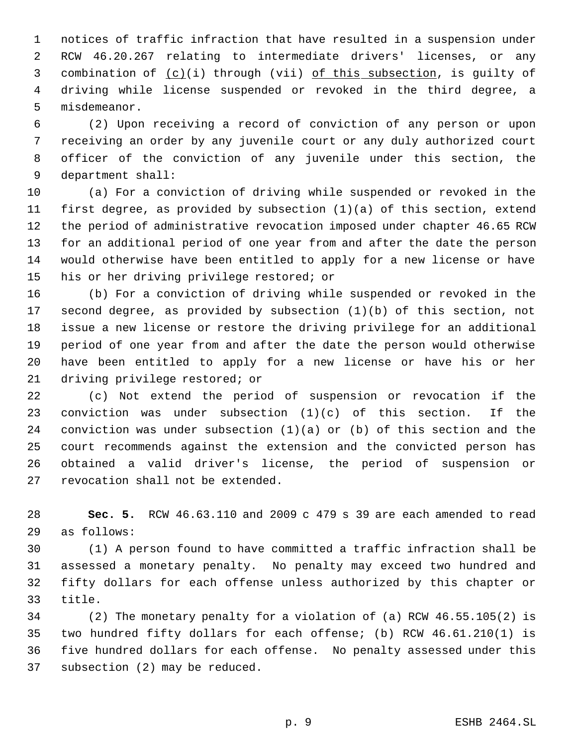notices of traffic infraction that have resulted in a suspension under RCW 46.20.267 relating to intermediate drivers' licenses, or any 3 combination of  $(c)(i)$  through (vii) of this subsection, is guilty of driving while license suspended or revoked in the third degree, a misdemeanor.

 (2) Upon receiving a record of conviction of any person or upon receiving an order by any juvenile court or any duly authorized court officer of the conviction of any juvenile under this section, the department shall:

 (a) For a conviction of driving while suspended or revoked in the first degree, as provided by subsection (1)(a) of this section, extend the period of administrative revocation imposed under chapter 46.65 RCW for an additional period of one year from and after the date the person would otherwise have been entitled to apply for a new license or have his or her driving privilege restored; or

 (b) For a conviction of driving while suspended or revoked in the second degree, as provided by subsection (1)(b) of this section, not issue a new license or restore the driving privilege for an additional period of one year from and after the date the person would otherwise have been entitled to apply for a new license or have his or her driving privilege restored; or

 (c) Not extend the period of suspension or revocation if the conviction was under subsection (1)(c) of this section. If the conviction was under subsection (1)(a) or (b) of this section and the court recommends against the extension and the convicted person has obtained a valid driver's license, the period of suspension or revocation shall not be extended.

 **Sec. 5.** RCW 46.63.110 and 2009 c 479 s 39 are each amended to read as follows:

 (1) A person found to have committed a traffic infraction shall be assessed a monetary penalty. No penalty may exceed two hundred and fifty dollars for each offense unless authorized by this chapter or title.

 (2) The monetary penalty for a violation of (a) RCW 46.55.105(2) is two hundred fifty dollars for each offense; (b) RCW 46.61.210(1) is five hundred dollars for each offense. No penalty assessed under this subsection (2) may be reduced.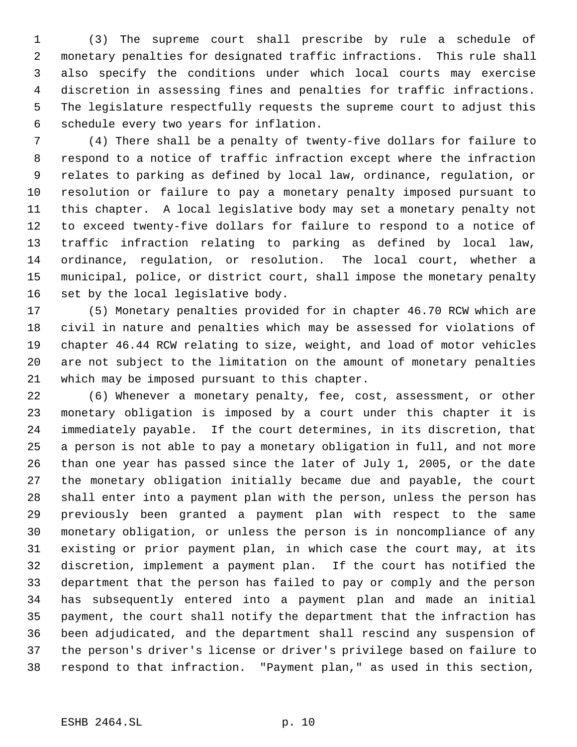(3) The supreme court shall prescribe by rule a schedule of monetary penalties for designated traffic infractions. This rule shall also specify the conditions under which local courts may exercise discretion in assessing fines and penalties for traffic infractions. The legislature respectfully requests the supreme court to adjust this schedule every two years for inflation.

 (4) There shall be a penalty of twenty-five dollars for failure to respond to a notice of traffic infraction except where the infraction relates to parking as defined by local law, ordinance, regulation, or resolution or failure to pay a monetary penalty imposed pursuant to this chapter. A local legislative body may set a monetary penalty not to exceed twenty-five dollars for failure to respond to a notice of traffic infraction relating to parking as defined by local law, ordinance, regulation, or resolution. The local court, whether a municipal, police, or district court, shall impose the monetary penalty set by the local legislative body.

 (5) Monetary penalties provided for in chapter 46.70 RCW which are civil in nature and penalties which may be assessed for violations of chapter 46.44 RCW relating to size, weight, and load of motor vehicles are not subject to the limitation on the amount of monetary penalties which may be imposed pursuant to this chapter.

 (6) Whenever a monetary penalty, fee, cost, assessment, or other monetary obligation is imposed by a court under this chapter it is immediately payable. If the court determines, in its discretion, that a person is not able to pay a monetary obligation in full, and not more than one year has passed since the later of July 1, 2005, or the date the monetary obligation initially became due and payable, the court shall enter into a payment plan with the person, unless the person has previously been granted a payment plan with respect to the same monetary obligation, or unless the person is in noncompliance of any existing or prior payment plan, in which case the court may, at its discretion, implement a payment plan. If the court has notified the department that the person has failed to pay or comply and the person has subsequently entered into a payment plan and made an initial payment, the court shall notify the department that the infraction has been adjudicated, and the department shall rescind any suspension of the person's driver's license or driver's privilege based on failure to respond to that infraction. "Payment plan," as used in this section,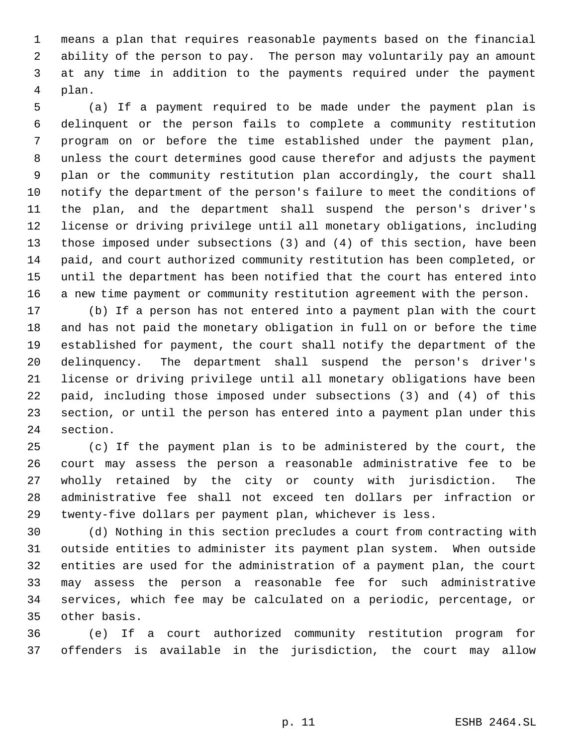means a plan that requires reasonable payments based on the financial ability of the person to pay. The person may voluntarily pay an amount at any time in addition to the payments required under the payment plan.

 (a) If a payment required to be made under the payment plan is delinquent or the person fails to complete a community restitution program on or before the time established under the payment plan, unless the court determines good cause therefor and adjusts the payment plan or the community restitution plan accordingly, the court shall notify the department of the person's failure to meet the conditions of the plan, and the department shall suspend the person's driver's license or driving privilege until all monetary obligations, including those imposed under subsections (3) and (4) of this section, have been paid, and court authorized community restitution has been completed, or until the department has been notified that the court has entered into a new time payment or community restitution agreement with the person.

 (b) If a person has not entered into a payment plan with the court and has not paid the monetary obligation in full on or before the time established for payment, the court shall notify the department of the delinquency. The department shall suspend the person's driver's license or driving privilege until all monetary obligations have been paid, including those imposed under subsections (3) and (4) of this section, or until the person has entered into a payment plan under this section.

 (c) If the payment plan is to be administered by the court, the court may assess the person a reasonable administrative fee to be wholly retained by the city or county with jurisdiction. The administrative fee shall not exceed ten dollars per infraction or twenty-five dollars per payment plan, whichever is less.

 (d) Nothing in this section precludes a court from contracting with outside entities to administer its payment plan system. When outside entities are used for the administration of a payment plan, the court may assess the person a reasonable fee for such administrative services, which fee may be calculated on a periodic, percentage, or other basis.

 (e) If a court authorized community restitution program for offenders is available in the jurisdiction, the court may allow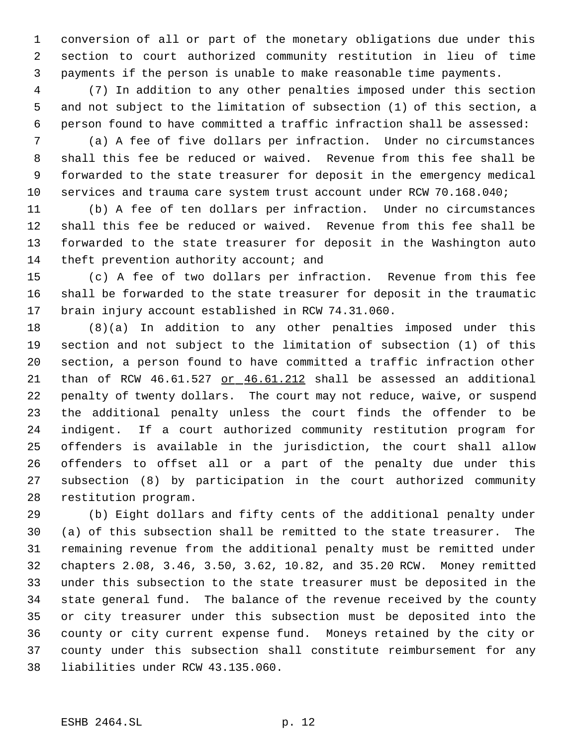conversion of all or part of the monetary obligations due under this section to court authorized community restitution in lieu of time payments if the person is unable to make reasonable time payments.

 (7) In addition to any other penalties imposed under this section and not subject to the limitation of subsection (1) of this section, a person found to have committed a traffic infraction shall be assessed:

 (a) A fee of five dollars per infraction. Under no circumstances shall this fee be reduced or waived. Revenue from this fee shall be forwarded to the state treasurer for deposit in the emergency medical services and trauma care system trust account under RCW 70.168.040;

 (b) A fee of ten dollars per infraction. Under no circumstances shall this fee be reduced or waived. Revenue from this fee shall be forwarded to the state treasurer for deposit in the Washington auto 14 theft prevention authority account; and

 (c) A fee of two dollars per infraction. Revenue from this fee shall be forwarded to the state treasurer for deposit in the traumatic brain injury account established in RCW 74.31.060.

 (8)(a) In addition to any other penalties imposed under this section and not subject to the limitation of subsection (1) of this section, a person found to have committed a traffic infraction other 21 than of RCW 46.61.527 or 46.61.212 shall be assessed an additional penalty of twenty dollars. The court may not reduce, waive, or suspend the additional penalty unless the court finds the offender to be indigent. If a court authorized community restitution program for offenders is available in the jurisdiction, the court shall allow offenders to offset all or a part of the penalty due under this subsection (8) by participation in the court authorized community restitution program.

 (b) Eight dollars and fifty cents of the additional penalty under (a) of this subsection shall be remitted to the state treasurer. The remaining revenue from the additional penalty must be remitted under chapters 2.08, 3.46, 3.50, 3.62, 10.82, and 35.20 RCW. Money remitted under this subsection to the state treasurer must be deposited in the state general fund. The balance of the revenue received by the county or city treasurer under this subsection must be deposited into the county or city current expense fund. Moneys retained by the city or county under this subsection shall constitute reimbursement for any liabilities under RCW 43.135.060.